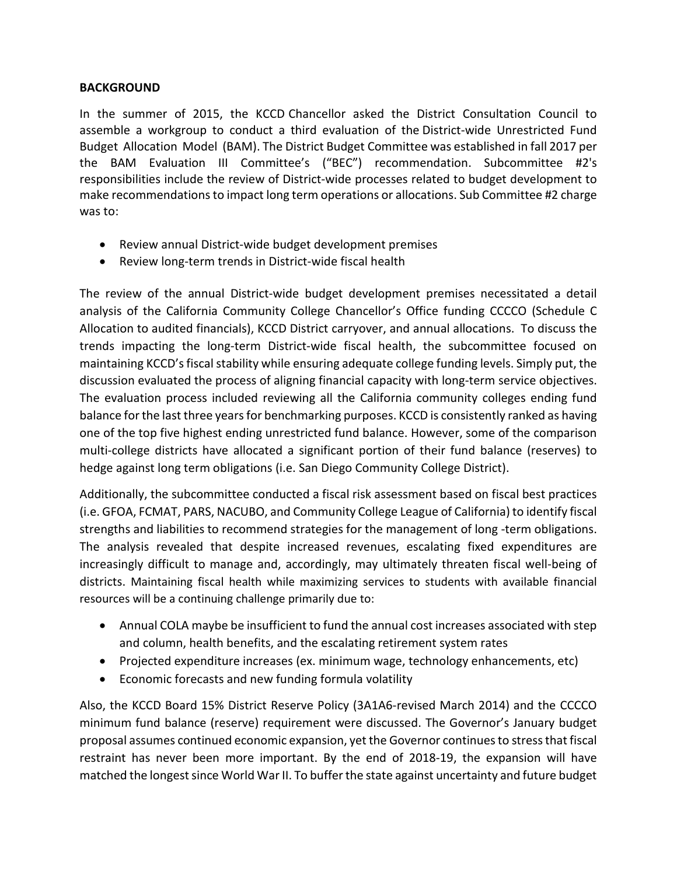## **BACKGROUND**

In the summer of 2015, the KCCD Chancellor asked the District Consultation Council to assemble a workgroup to conduct a third evaluation of the District-wide Unrestricted Fund Budget Allocation Model (BAM). The District Budget Committee was established in fall 2017 per the BAM Evaluation III Committee's ("BEC") recommendation. Subcommittee #2's responsibilities include the review of District-wide processes related to budget development to make recommendations to impact long term operations or allocations. Sub Committee #2 charge was to:

- Review annual District-wide budget development premises
- Review long-term trends in District-wide fiscal health

The review of the annual District-wide budget development premises necessitated a detail analysis of the California Community College Chancellor's Office funding CCCCO (Schedule C Allocation to audited financials), KCCD District carryover, and annual allocations. To discuss the trends impacting the long-term District-wide fiscal health, the subcommittee focused on maintaining KCCD's fiscal stability while ensuring adequate college funding levels. Simply put, the discussion evaluated the process of aligning financial capacity with long-term service objectives. The evaluation process included reviewing all the California community colleges ending fund balance for the last three years for benchmarking purposes. KCCD is consistently ranked as having one of the top five highest ending unrestricted fund balance. However, some of the comparison multi-college districts have allocated a significant portion of their fund balance (reserves) to hedge against long term obligations (i.e. San Diego Community College District).

Additionally, the subcommittee conducted a fiscal risk assessment based on fiscal best practices (i.e. GFOA, FCMAT, PARS, NACUBO, and Community College League of California) to identify fiscal strengths and liabilities to recommend strategies for the management of long -term obligations. The analysis revealed that despite increased revenues, escalating fixed expenditures are increasingly difficult to manage and, accordingly, may ultimately threaten fiscal well-being of districts. Maintaining fiscal health while maximizing services to students with available financial resources will be a continuing challenge primarily due to:

- Annual COLA maybe be insufficient to fund the annual cost increases associated with step and column, health benefits, and the escalating retirement system rates
- Projected expenditure increases (ex. minimum wage, technology enhancements, etc)
- Economic forecasts and new funding formula volatility

Also, the KCCD Board 15% District Reserve Policy (3A1A6-revised March 2014) and the CCCCO minimum fund balance (reserve) requirement were discussed. The Governor's January budget proposal assumes continued economic expansion, yet the Governor continues to stress that fiscal restraint has never been more important. By the end of 2018-19, the expansion will have matched the longest since World War II. To buffer the state against uncertainty and future budget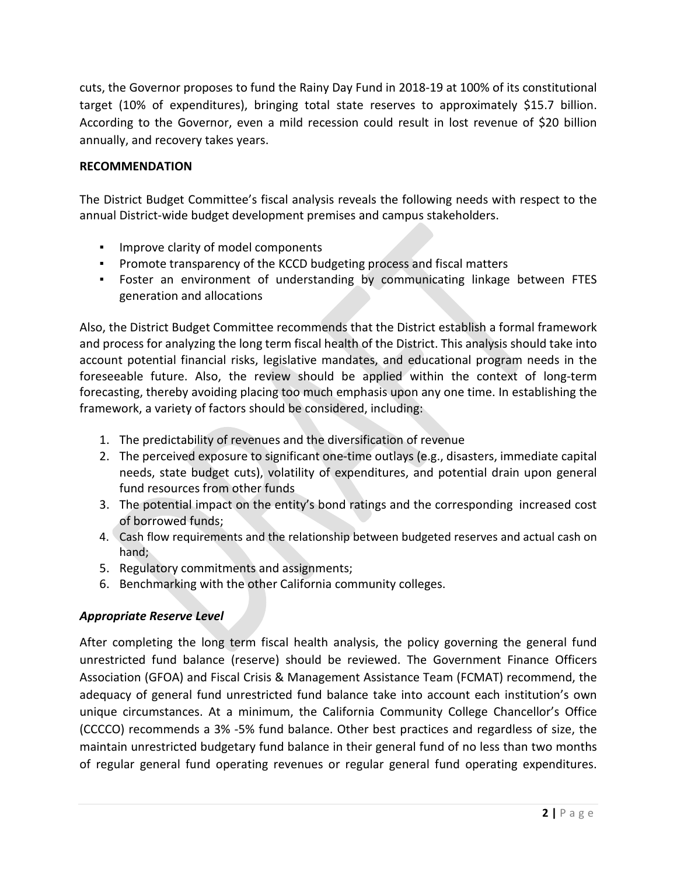cuts, the Governor proposes to fund the Rainy Day Fund in 2018-19 at 100% of its constitutional target (10% of expenditures), bringing total state reserves to approximately \$15.7 billion. According to the Governor, even a mild recession could result in lost revenue of \$20 billion annually, and recovery takes years.

## **RECOMMENDATION**

The District Budget Committee's fiscal analysis reveals the following needs with respect to the annual District-wide budget development premises and campus stakeholders.

- Improve clarity of model components
- Promote transparency of the KCCD budgeting process and fiscal matters
- Foster an environment of understanding by communicating linkage between FTES generation and allocations

Also, the District Budget Committee recommends that the District establish a formal framework and process for analyzing the long term fiscal health of the District. This analysis should take into account potential financial risks, legislative mandates, and educational program needs in the foreseeable future. Also, the review should be applied within the context of long-term forecasting, thereby avoiding placing too much emphasis upon any one time. In establishing the framework, a variety of factors should be considered, including:

- 1. The predictability of revenues and the diversification of revenue
- 2. The perceived exposure to significant one-time outlays (e.g., disasters, immediate capital needs, state budget cuts), volatility of expenditures, and potential drain upon general fund resources from other funds
- 3. The potential impact on the entity's bond ratings and the corresponding increased cost of borrowed funds;
- 4. Cash flow requirements and the relationship between budgeted reserves and actual cash on hand;
- 5. Regulatory commitments and assignments;
- 6. Benchmarking with the other California community colleges.

## *Appropriate Reserve Level*

After completing the long term fiscal health analysis, the policy governing the general fund unrestricted fund balance (reserve) should be reviewed. The Government Finance Officers Association (GFOA) and Fiscal Crisis & Management Assistance Team (FCMAT) recommend, the adequacy of general fund unrestricted fund balance take into account each institution's own unique circumstances. At a minimum, the California Community College Chancellor's Office (CCCCO) recommends a 3% -5% fund balance. Other best practices and regardless of size, the maintain unrestricted budgetary fund balance in their general fund of no less than two months of regular general fund operating revenues or regular general fund operating expenditures.